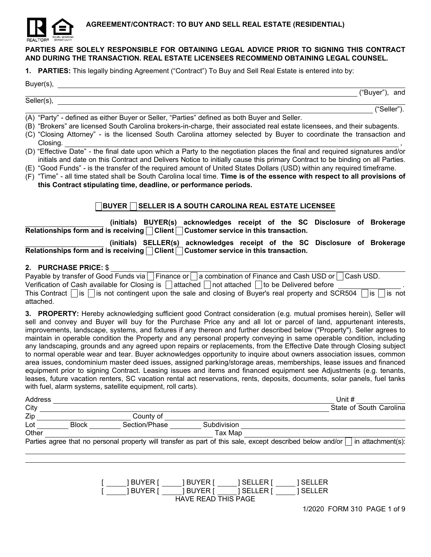

# PARTIES ARE SOLELY RESPONSIBLE FOR OBTAINING LEGAL ADVICE PRIOR TO SIGNING THIS CONTRACT AND DURING THE TRANSACTION. REAL ESTATE LICENSEES RECOMMEND OBTAINING LEGAL COUNSEL.

1. PARTIES: This legally binding Agreement ("Contract") To Buy and Sell Real Estate is entered into by:

### Buyer(s),

("Buyer"), and

("Seller").

(A) "Party" - defined as either Buyer or Seller, "Parties" defined as both Buyer and Seller.

Seller(s),

- (B) "Brokers" are licensed South Carolina brokers-in-charge, their associated real estate licensees, and their subagents.
- (C) "Closing Attorney" is the licensed South Carolina attorney selected by Buyer to coordinate the transaction and  $\blacksquare$  , the closing. The contract of the contract of the contract of the contract of the contract of the contract of the contract of the contract of the contract of the contract of the contract of the contract of the cont
- (D) "Effective Date" the final date upon which a Party to the negotiation places the final and required signatures and/or initials and date on this Contract and Delivers Notice to initially cause this primary Contract to be binding on all Parties.
- (E) "Good Funds" is the transfer of the required amount of United States Dollars (USD) within any required timeframe.
- (F) "Time" all time stated shall be South Carolina local time. Time is of the essence with respect to all provisions of this Contract stipulating time, deadline, or performance periods.

# $\Box$ BUYER  $\Box$  SELLER IS A SOUTH CAROLINA REAL ESTATE LICENSEE

(initials) BUYER(s) acknowledges receipt of the SC Disclosure of Brokerage Relationships form and is receiving **Client** Customer service in this transaction.

# (initials) SELLER(s) acknowledges receipt of the SC Disclosure of Brokerage Relationships form and is receiving **Client** Customer service in this transaction.

## 2. PURCHASE PRICE: \$

| Payable by transfer of Good Funds via   Finance or   a combination of Finance and Cash USD or   Cash USD.                              |
|----------------------------------------------------------------------------------------------------------------------------------------|
| Verification of Cash available for Closing is $\Box$ attached $\Box$ not attached $\Box$ to be Delivered before                        |
| This Contract $\Box$ is $\Box$ is not contingent upon the sale and closing of Buyer's real property and SCR504 $\Box$ is $\Box$ is not |
| attached.                                                                                                                              |

3. PROPERTY: Hereby acknowledging sufficient good Contract consideration (e.g. mutual promises herein), Seller will sell and convey and Buyer will buy for the Purchase Price any and all lot or parcel of land, appurtenant interests, improvements, landscape, systems, and fixtures if any thereon and further described below ("Property"). Seller agrees to maintain in operable condition the Property and any personal property conveying in same operable condition, including any landscaping, grounds and any agreed upon repairs or replacements, from the Effective Date through Closing subject to normal operable wear and tear. Buyer acknowledges opportunity to inquire about owners association issues, common area issues, condominium master deed issues, assigned parking/storage areas, memberships, lease issues and financed equipment prior to signing Contract. Leasing issues and items and financed equipment see Adjustments (e.g. tenants, leases, future vacation renters, SC vacation rental act reservations, rents, deposits, documents, solar panels, fuel tanks with fuel, alarm systems, satellite equipment, roll carts).

| Address |              |               |             | Unit $#$                                                                                                                       |
|---------|--------------|---------------|-------------|--------------------------------------------------------------------------------------------------------------------------------|
| City    |              |               |             | State of South Carolina                                                                                                        |
| Zip     |              | County of     |             |                                                                                                                                |
| Lot     | <b>Block</b> | Section/Phase | Subdivision |                                                                                                                                |
| Other   |              |               | Tax Map     |                                                                                                                                |
|         |              |               |             | Parties agree that no personal property will transfer as part of this sale, except described below and/or<br>in attachment(s): |

[ ] BUYER [ ] BUYER [ ] SELLER [ ] SELLER [ ] BUYER [ ] BUYER [ ] SELLER [ ] SELLER HAVE READ THIS PAGE

1/2020 FORM 310 PAGE 1 of 9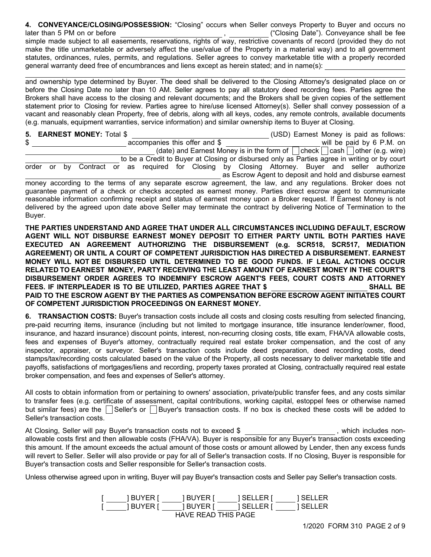4. CONVEYANCE/CLOSING/POSSESSION: "Closing" occurs when Seller conveys Property to Buyer and occurs no later than 5 PM on or before , ("Closing Date"). Conveyance shall be fee simple made subject to all easements, reservations, rights of way, restrictive covenants of record (provided they do not make the title unmarketable or adversely affect the use/value of the Property in a material way) and to all government statutes, ordinances, rules, permits, and regulations. Seller agrees to convey marketable title with a properly recorded general warranty deed free of encumbrances and liens except as herein stated; and in name(s):

and ownership type determined by Buyer. The deed shall be delivered to the Closing Attorney's designated place on or before the Closing Date no later than 10 AM. Seller agrees to pay all statutory deed recording fees. Parties agree the Brokers shall have access to the closing and relevant documents; and the Brokers shall be given copies of the settlement statement prior to Closing for review. Parties agree to hire/use licensed Attorney(s). Seller shall convey possession of a vacant and reasonably clean Property, free of debris, along with all keys, codes, any remote controls, available documents (e.g. manuals, equipment warranties, service information) and similar ownership items to Buyer at Closing.

|  |  | 5. EARNEST MONEY: Total \$ |  |                               |  |  |  |  | (USD) Earnest Money is paid as follows:                                                                      |
|--|--|----------------------------|--|-------------------------------|--|--|--|--|--------------------------------------------------------------------------------------------------------------|
|  |  |                            |  | accompanies this offer and \$ |  |  |  |  | will be paid by 6 P.M. on                                                                                    |
|  |  |                            |  |                               |  |  |  |  | (date) and Earnest Money is in the form of $\Box$ check $\Box$ cash $\Box$ other (e.g. wire)                 |
|  |  |                            |  |                               |  |  |  |  | to be a Credit to Buyer at Closing or disbursed only as Parties agree in writing or by court                 |
|  |  |                            |  |                               |  |  |  |  | order or by Contract or as required for Closing by Closing Attorney. Buyer and seller authorize              |
|  |  |                            |  |                               |  |  |  |  | as Escrow Agent to deposit and hold and disburse earnest                                                     |
|  |  |                            |  |                               |  |  |  |  | money according to the terms of any separate escrow agreement, the law, and any regulations. Broker does not |
|  |  |                            |  |                               |  |  |  |  | quarantee payment of a check or checks accepted as earnest money. Parties direct escrow agent to communicate |

guarantee payment of a check or checks accepted as earnest money. Parties direct escrow agent to communicate reasonable information confirming receipt and status of earnest money upon a Broker request. If Earnest Money is not delivered by the agreed upon date above Seller may terminate the contract by delivering Notice of Termination to the Buyer.

THE PARTIES UNDERSTAND AND AGREE THAT UNDER ALL CIRCUMSTANCES INCLUDING DEFAULT, ESCROW AGENT WILL NOT DISBURSE EARNEST MONEY DEPOSIT TO EITHER PARTY UNTIL BOTH PARTIES HAVE EXECUTED AN AGREEMENT AUTHORIZING THE DISBURSEMENT (e.g. SCR518, SCR517, MEDIATION AGREEMENT) OR UNTIL A COURT OF COMPETENT JURISDICTION HAS DIRECTED A DISBURSEMENT. EARNEST MONEY WILL NOT BE DISBURSED UNTIL DETERMINED TO BE GOOD FUNDS. IF LEGAL ACTIONS OCCUR RELATED TO EARNEST MONEY, PARTY RECEIVING THE LEAST AMOUNT OF EARNEST MONEY IN THE COURT'S DISBURSEMENT ORDER AGREES TO INDEMNIFY ESCROW AGENT'S FEES, COURT COSTS AND ATTORNEY FEES. IF INTERPLEADER IS TO BE UTILIZED, PARTIES AGREE THAT \$ SHALL BE PAID TO THE ESCROW AGENT BY THE PARTIES AS COMPENSATION BEFORE ESCROW AGENT INITIATES COURT OF COMPETENT JURISDICTION PROCEEDINGS ON EARNEST MONEY.

6. TRANSACTION COSTS: Buyer's transaction costs include all costs and closing costs resulting from selected financing, pre-paid recurring items, insurance (including but not limited to mortgage insurance, title insurance lender/owner, flood, insurance, and hazard insurance) discount points, interest, non-recurring closing costs, title exam, FHA/VA allowable costs, fees and expenses of Buyer's attorney, contractually required real estate broker compensation, and the cost of any inspector, appraiser, or surveyor. Seller's transaction costs include deed preparation, deed recording costs, deed stamps/tax/recording costs calculated based on the value of the Property, all costs necessary to deliver marketable title and payoffs, satisfactions of mortgages/liens and recording, property taxes prorated at Closing, contractually required real estate broker compensation, and fees and expenses of Seller's attorney.

All costs to obtain information from or pertaining to owners' association, private/public transfer fees, and any costs similar to transfer fees (e.g. certificate of assessment, capital contributions, working capital, estoppel fees or otherwise named but similar fees) are the Seller's or Buyer's transaction costs. If no box is checked these costs will be added to Seller's transaction costs.

At Closing, Seller will pay Buyer's transaction costs not to exceed \$ , which includes nonallowable costs first and then allowable costs (FHA/VA). Buyer is responsible for any Buyer's transaction costs exceeding this amount. If the amount exceeds the actual amount of those costs or amount allowed by Lender, then any excess funds will revert to Seller. Seller will also provide or pay for all of Seller's transaction costs. If no Closing, Buyer is responsible for Buyer's transaction costs and Seller responsible for Seller's transaction costs.

Unless otherwise agreed upon in writing, Buyer will pay Buyer's transaction costs and Seller pay Seller's transaction costs.

|                     | TBUYER I  | I BUYER I | TSELLER I  | TSELLER  |  |
|---------------------|-----------|-----------|------------|----------|--|
|                     | 1 BUYER I | 1 BUYER I | I SELLER I | 1 SELLER |  |
| HAVE READ THIS PAGE |           |           |            |          |  |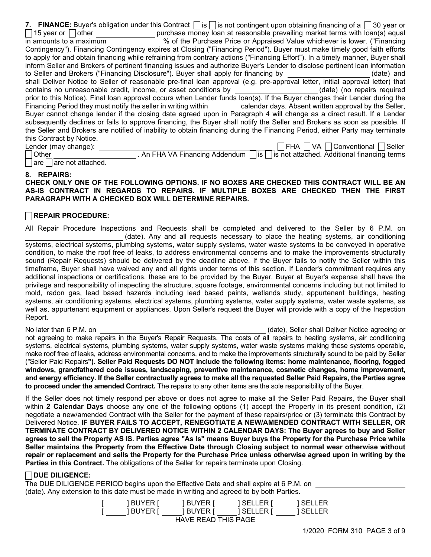|                          | 7. FINANCE: Buyer's obligation under this Contract $ \cdot $ is $ \cdot $ is not contingent upon obtaining financing of a $ \cdot $ 30 year or |                                                                                   |
|--------------------------|------------------------------------------------------------------------------------------------------------------------------------------------|-----------------------------------------------------------------------------------|
|                          | 15 year or    other $\qquad \qquad \qquad$ purchase money loan at reasonable prevailing market terms with loan(s) equal                        |                                                                                   |
|                          | in amounts to a maximum but will be the Purchase Price or Appraised Value whichever is lower. ("Financing")                                    |                                                                                   |
|                          | Contingency"). Financing Contingency expires at Closing ("Financing Period"). Buyer must make timely good faith efforts                        |                                                                                   |
|                          | to apply for and obtain financing while refraining from contrary actions ("Financing Effort"). In a timely manner, Buyer shall                 |                                                                                   |
|                          | inform Seller and Brokers of pertinent financing issues and authorize Buyer's Lender to disclose pertinent loan information                    |                                                                                   |
|                          | to Seller and Brokers ("Financing Disclosure"). Buyer shall apply for financing by __________________(date) and                                |                                                                                   |
|                          | shall Deliver Notice to Seller of reasonable pre-final loan approval (e.g. pre-approval letter, initial approval letter) that                  |                                                                                   |
|                          | contains no unreasonable credit, income, or asset conditions by __________________(date) (no repairs required                                  |                                                                                   |
|                          | prior to this Notice). Final loan approval occurs when Lender funds loan(s). If the Buyer changes their Lender during the                      |                                                                                   |
|                          | Financing Period they must notify the seller in writing within _ calendar days. Absent written approval by the Seller,                         |                                                                                   |
|                          | Buyer cannot change lender if the closing date agreed upon in Paragraph 4 will change as a direct result. If a Lender                          |                                                                                   |
|                          | subsequently declines or fails to approve financing, the Buyer shall notify the Seller and Brokers as soon as possible. If                     |                                                                                   |
|                          | the Seller and Brokers are notified of inability to obtain financing during the Financing Period, either Party may terminate                   |                                                                                   |
| this Contract by Notice. |                                                                                                                                                |                                                                                   |
| Lender (may change):     |                                                                                                                                                | FHA VA Conventional Seller                                                        |
| $ $ Other                |                                                                                                                                                | . An FHA VA Financing Addendum   is   is not attached. Additional financing terms |

 $\lceil$  are not attached.

#### 8. REPAIRS:

### CHECK ONLY ONE OF THE FOLLOWING OPTIONS. IF NO BOXES ARE CHECKED THIS CONTRACT WILL BE AN AS-IS CONTRACT IN REGARDS TO REPAIRS. IF MULTIPLE BOXES ARE CHECKED THEN THE FIRST PARAGRAPH WITH A CHECKED BOX WILL DETERMINE REPAIRS.

## REPAIR PROCEDURE:

All Repair Procedure Inspections and Requests shall be completed and delivered to the Seller by 6 P.M. on (date). Any and all requests necessary to place the heating systems, air conditioning systems, electrical systems, plumbing systems, water supply systems, water waste systems to be conveyed in operative condition, to make the roof free of leaks, to address environmental concerns and to make the improvements structurally sound (Repair Requests) should be delivered by the deadline above. If the Buyer fails to notify the Seller within this timeframe, Buyer shall have waived any and all rights under terms of this section. If Lender's commitment requires any additional inspections or certifications, these are to be provided by the Buyer. Buyer at Buyer's expense shall have the privilege and responsibility of inspecting the structure, square footage, environmental concerns including but not limited to mold, radon gas, lead based hazards including lead based paints, wetlands study, appurtenant buildings, heating systems, air conditioning systems, electrical systems, plumbing systems, water supply systems, water waste systems, as well as, appurtenant equipment or appliances. Upon Seller's request the Buyer will provide with a copy of the Inspection Report.

No later than 6 P.M. on (date), Seller shall Deliver Notice agreeing or not agreeing to make repairs in the Buyer's Repair Requests. The costs of all repairs to heating systems, air conditioning systems, electrical systems, plumbing systems, water supply systems, water waste systems making these systems operable, make roof free of leaks, address environmental concerns, and to make the improvements structurally sound to be paid by Seller ("Seller Paid Repairs"). Seller Paid Requests DO NOT include the following items: home maintenance, flooring, fogged windows, grandfathered code issues, landscaping, preventive maintenance, cosmetic changes, home improvement, and energy efficiency. If the Seller contractually agrees to make all the requested Seller Paid Repairs, the Parties agree to proceed under the amended Contract. The repairs to any other items are the sole responsibility of the Buyer.

If the Seller does not timely respond per above or does not agree to make all the Seller Paid Repairs, the Buyer shall within 2 Calendar Days choose any one of the following options (1) accept the Property in its present condition, (2) negotiate a new/amended Contract with the Seller for the payment of these repairs/price or (3) terminate this Contract by Delivered Notice. IF BUYER FAILS TO ACCEPT, RENEGOTIATE A NEW/AMENDED CONTRACT WITH SELLER, OR TERMINATE CONTRACT BY DELIVERED NOTICE WITHIN 2 CALENDAR DAYS: The Buyer agrees to buy and Seller agrees to sell the Property AS IS. Parties agree "As Is" means Buyer buys the Property for the Purchase Price while Seller maintains the Property from the Effective Date through Closing subject to normal wear otherwise without repair or replacement and sells the Property for the Purchase Price unless otherwise agreed upon in writing by the Parties in this Contract. The obligations of the Seller for repairs terminate upon Closing.

## DUE DILIGENCE:

The DUE DILIGENCE PERIOD begins upon the Effective Date and shall expire at 6 P.M. on (date). Any extension to this date must be made in writing and agreed to by both Parties.

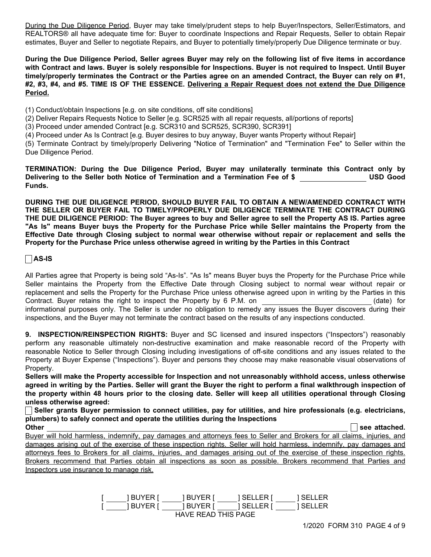During the Due Diligence Period, Buyer may take timely/prudent steps to help Buyer/Inspectors, Seller/Estimators, and REALTORS® all have adequate time for: Buyer to coordinate Inspections and Repair Requests, Seller to obtain Repair estimates, Buyer and Seller to negotiate Repairs, and Buyer to potentially timely/properly Due Diligence terminate or buy.

During the Due Diligence Period, Seller agrees Buyer may rely on the following list of five items in accordance with Contract and laws. Buyer is solely responsible for Inspections. Buyer is not required to Inspect. Until Buyer timely/properly terminates the Contract or the Parties agree on an amended Contract, the Buyer can rely on #1, #2, #3, #4, and #5. TIME IS OF THE ESSENCE. Delivering a Repair Request does not extend the Due Diligence Period.

(1) Conduct/obtain Inspections [e.g. on site conditions, off site conditions]

(2) Deliver Repairs Requests Notice to Seller [e.g. SCR525 with all repair requests, all/portions of reports]

(3) Proceed under amended Contract [e.g. SCR310 and SCR525, SCR390, SCR391]

(4) Proceed under As Is Contract [e.g. Buyer desires to buy anyway, Buyer wants Property without Repair]

(5) Terminate Contract by timely/properly Delivering "Notice of Termination" and "Termination Fee" to Seller within the Due Diligence Period.

TERMINATION: During the Due Diligence Period, Buyer may unilaterally terminate this Contract only by Delivering to the Seller both Notice of Termination and a Termination Fee of \$ USD Good Funds.

DURING THE DUE DILIGENCE PERIOD, SHOULD BUYER FAIL TO OBTAIN A NEW/AMENDED CONTRACT WITH THE SELLER OR BUYER FAIL TO TIMELY/PROPERLY DUE DILIGENCE TERMINATE THE CONTRACT DURING THE DUE DILIGENCE PERIOD: The Buyer agrees to buy and Seller agree to sell the Property AS IS. Parties agree "As Is" means Buyer buys the Property for the Purchase Price while Seller maintains the Property from the Effective Date through Closing subject to normal wear otherwise without repair or replacement and sells the Property for the Purchase Price unless otherwise agreed in writing by the Parties in this Contract

# $\Box$ AS-IS

All Parties agree that Property is being sold "As-Is". "As Is" means Buyer buys the Property for the Purchase Price while Seller maintains the Property from the Effective Date through Closing subject to normal wear without repair or replacement and sells the Property for the Purchase Price unless otherwise agreed upon in writing by the Parties in this Contract. Buyer retains the right to inspect the Property by 6 P.M. on (date) for informational purposes only. The Seller is under no obligation to remedy any issues the Buyer discovers during their inspections, and the Buyer may not terminate the contract based on the results of any inspections conducted.

9. INSPECTION/REINSPECTION RIGHTS: Buyer and SC licensed and insured inspectors ("Inspectors") reasonably perform any reasonable ultimately non-destructive examination and make reasonable record of the Property with reasonable Notice to Seller through Closing including investigations of off-site conditions and any issues related to the Property at Buyer Expense ("Inspections"). Buyer and persons they choose may make reasonable visual observations of Property.

Sellers will make the Property accessible for Inspection and not unreasonably withhold access, unless otherwise agreed in writing by the Parties. Seller will grant the Buyer the right to perform a final walkthrough inspection of the property within 48 hours prior to the closing date. Seller will keep all utilities operational through Closing unless otherwise agreed:

Seller grants Buyer permission to connect utilities, pay for utilities, and hire professionals (e.g. electricians, plumbers) to safely connect and operate the utilities during the Inspections

Other see attached. The see attached in the seed of the seed of the seed of the seed of the seed of the seed of the seed of the seed of the seed of the seed of the seed of the seed of the seed of the seed of the seed of th Buyer will hold harmless, indemnify, pay damages and attorneys fees to Seller and Brokers for all claims, injuries, and damages arising out of the exercise of these inspection rights. Seller will hold harmless, indemnify, pay damages and attorneys fees to Brokers for all claims, injuries, and damages arising out of the exercise of these inspection rights. Brokers recommend that Parties obtain all inspections as soon as possible. Brokers recommend that Parties and Inspectors use insurance to manage risk.

|                     | 1 BUYER I | I BUYER I | <b>SELLERT</b>   | TSELLER I |  |
|---------------------|-----------|-----------|------------------|-----------|--|
|                     | TBUYER I  |           | IBUYERI ISELLERI | 1 SELLER  |  |
| HAVE READ THIS PAGE |           |           |                  |           |  |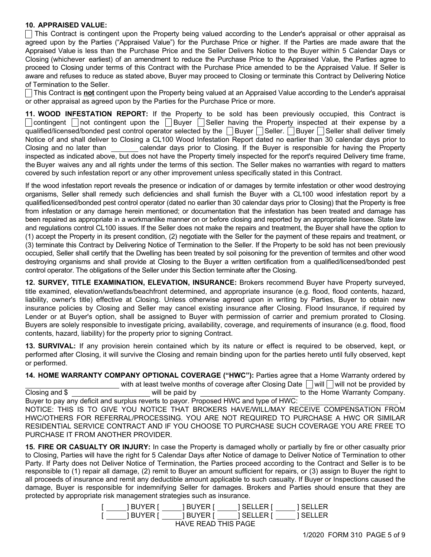# 10. APPRAISED VALUE:

This Contract is contingent upon the Property being valued according to the Lender's appraisal or other appraisal as agreed upon by the Parties ("Appraised Value") for the Purchase Price or higher. If the Parties are made aware that the Appraised Value is less than the Purchase Price and the Seller Delivers Notice to the Buyer within 5 Calendar Days or Closing (whichever earliest) of an amendment to reduce the Purchase Price to the Appraised Value, the Parties agree to proceed to Closing under terms of this Contract with the Purchase Price amended to be the Appraised Value. If Seller is aware and refuses to reduce as stated above, Buyer may proceed to Closing or terminate this Contract by Delivering Notice of Termination to the Seller.

This Contract is **not** contingent upon the Property being valued at an Appraised Value according to the Lender's appraisal or other appraisal as agreed upon by the Parties for the Purchase Price or more.

11. WOOD INFESTATION REPORT: If the Property to be sold has been previously occupied, this Contract is contingent onot contingent upon the Buyer Seller having the Property inspected at their expense by a qualified/licensed/bonded pest control operator selected by the  $\Box$  Buyer  $\Box$  Seller.  $\Box$  Buyer  $\Box$  Seller shall deliver timely Notice of and shall deliver to Closing a CL100 Wood Infestation Report dated no earlier than 30 calendar days prior to Closing and no later than calendar days prior to Closing. If the Buyer is responsible for having the Property inspected as indicated above, but does not have the Property timely inspected for the report's required Delivery time frame, the Buyer waives any and all rights under the terms of this section. The Seller makes no warranties with regard to matters covered by such infestation report or any other improvement unless specifically stated in this Contract.

If the wood infestation report reveals the presence or indication of or damages by termite infestation or other wood destroying organisms, Seller shall remedy such deficiencies and shall furnish the Buyer with a CL100 wood infestation report by a qualified/licensed/bonded pest control operator (dated no earlier than 30 calendar days prior to Closing) that the Property is free from infestation or any damage herein mentioned; or documentation that the infestation has been treated and damage has been repaired as appropriate in a workmanlike manner on or before closing and reported by an appropriate licensee. State law and regulations control CL100 issues. If the Seller does not make the repairs and treatment, the Buyer shall have the option to (1) accept the Property in its present condition, (2) negotiate with the Seller for the payment of these repairs and treatment, or (3) terminate this Contract by Delivering Notice of Termination to the Seller. If the Property to be sold has not been previously occupied, Seller shall certify that the Dwelling has been treated by soil poisoning for the prevention of termites and other wood destroying organisms and shall provide at Closing to the Buyer a written certification from a qualified/licensed/bonded pest control operator. The obligations of the Seller under this Section terminate after the Closing.

12. SURVEY, TITLE EXAMINATION, ELEVATION, INSURANCE: Brokers recommend Buyer have Property surveyed, title examined, elevation/wetlands/beachfront determined, and appropriate insurance (e.g. flood, flood contents, hazard, liability, owner's title) effective at Closing. Unless otherwise agreed upon in writing by Parties, Buyer to obtain new insurance policies by Closing and Seller may cancel existing insurance after Closing. Flood Insurance, if required by Lender or at Buyer's option, shall be assigned to Buyer with permission of carrier and premium prorated to Closing. Buyers are solely responsible to investigate pricing, availability, coverage, and requirements of insurance (e.g. flood, flood contents, hazard, liability) for the property prior to signing Contract.

13. SURVIVAL: If any provision herein contained which by its nature or effect is required to be observed, kept, or performed after Closing, it will survive the Closing and remain binding upon for the parties hereto until fully observed, kept or performed.

14. HOME WARRANTY COMPANY OPTIONAL COVERAGE ("HWC"): Parties agree that a Home Warranty ordered by with at least twelve months of coverage after Closing Date  $\Box$  will  $\Box$  will not be provided by Closing and \$ will be paid by to the Home Warranty Company. Buyer to pay any deficit and surplus reverts to payor. Proposed HWC and type of HWC: NOTICE: THIS IS TO GIVE YOU NOTICE THAT BROKERS HAVE/WILL/MAY RECEIVE COMPENSATION FROM HWC/OTHERS FOR REFERRAL/PROCESSING. YOU ARE NOT REQUIRED TO PURCHASE A HWC OR SIMILAR RESIDENTIAL SERVICE CONTRACT AND IF YOU CHOOSE TO PURCHASE SUCH COVERAGE YOU ARE FREE TO PURCHASE IT FROM ANOTHER PROVIDER.

15. FIRE OR CASUALTY OR INJURY: In case the Property is damaged wholly or partially by fire or other casualty prior to Closing, Parties will have the right for 5 Calendar Days after Notice of damage to Deliver Notice of Termination to other Party. If Party does not Deliver Notice of Termination, the Parties proceed according to the Contract and Seller is to be responsible to (1) repair all damage, (2) remit to Buyer an amount sufficient for repairs, or (3) assign to Buyer the right to all proceeds of insurance and remit any deductible amount applicable to such casualty. If Buyer or Inspections caused the damage, Buyer is responsible for indemnifying Seller for damages. Brokers and Parties should ensure that they are protected by appropriate risk management strategies such as insurance.

| I BUYER I           | 1 BUYER I | TSELLER I       | 1 SELLER |  |  |
|---------------------|-----------|-----------------|----------|--|--|
| 1 BUYER I           | 1 BUYER I | <b>ISELLERT</b> | 1 SELLER |  |  |
| HAVE READ THIS PAGE |           |                 |          |  |  |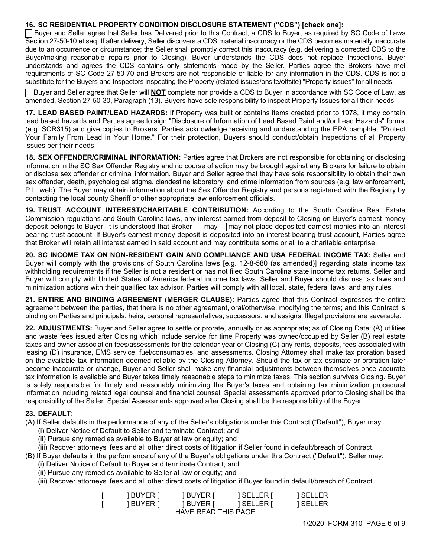# 16. SC RESIDENTIAL PROPERTY CONDITION DISCLOSURE STATEMENT ("CDS") [check one]:

Buyer and Seller agree that Seller has Delivered prior to this Contract, a CDS to Buyer, as required by SC Code of Laws Section 27-50-10 et seq. If after delivery, Seller discovers a CDS material inaccuracy or the CDS becomes materially inaccurate due to an occurrence or circumstance; the Seller shall promptly correct this inaccuracy (e.g. delivering a corrected CDS to the Buyer/making reasonable repairs prior to Closing). Buyer understands the CDS does not replace Inspections. Buyer understands and agrees the CDS contains only statements made by the Seller. Parties agree the Brokers have met requirements of SC Code 27-50-70 and Brokers are not responsible or liable for any information in the CDS. CDS is not a substitute for the Buyers and Inspectors inspecting the Property (related issues/onsite/offsite) "Property issues" for all needs.

Buyer and Seller agree that Seller will **NOT** complete nor provide a CDS to Buyer in accordance with SC Code of Law, as amended, Section 27-50-30, Paragraph (13). Buyers have sole responsibility to inspect Property Issues for all their needs.

17. LEAD BASED PAINT/LEAD HAZARDS: If Property was built or contains items created prior to 1978, it may contain lead based hazards and Parties agree to sign "Disclosure of Information of Lead Based Paint and/or Lead Hazards" forms (e.g. SCR315) and give copies to Brokers. Parties acknowledge receiving and understanding the EPA pamphlet "Protect Your Family From Lead in Your Home." For their protection, Buyers should conduct/obtain Inspections of all Property issues per their needs.

18. SEX OFFENDER/CRIMINAL INFORMATION: Parties agree that Brokers are not responsible for obtaining or disclosing information in the SC Sex Offender Registry and no course of action may be brought against any Brokers for failure to obtain or disclose sex offender or criminal information. Buyer and Seller agree that they have sole responsibility to obtain their own sex offender, death, psychological stigma, clandestine laboratory, and crime information from sources (e.g. law enforcement, P.I., web). The Buyer may obtain information about the Sex Offender Registry and persons registered with the Registry by contacting the local county Sheriff or other appropriate law enforcement officials.

19. TRUST ACCOUNT INTEREST/CHARITABLE CONTRIBUTION: According to the South Carolina Real Estate Commission regulations and South Carolina laws, any interest earned from deposit to Closing on Buyer's earnest money deposit belongs to Buyer. It is understood that Broker  $\Box$ may  $\Box$ may not place deposited earnest monies into an interest bearing trust account. If Buyer's earnest money deposit is deposited into an interest bearing trust account, Parties agree that Broker will retain all interest earned in said account and may contribute some or all to a charitable enterprise.

20. SC INCOME TAX ON NON-RESIDENT GAIN AND COMPLIANCE AND USA FEDERAL INCOME TAX: Seller and Buyer will comply with the provisions of South Carolina laws [e.g. 12-8-580 (as amended)] regarding state income tax withholding requirements if the Seller is not a resident or has not filed South Carolina state income tax returns. Seller and Buyer will comply with United States of America federal income tax laws. Seller and Buyer should discuss tax laws and minimization actions with their qualified tax advisor. Parties will comply with all local, state, federal laws, and any rules.

21. ENTIRE AND BINDING AGREEMENT (MERGER CLAUSE): Parties agree that this Contract expresses the entire agreement between the parties, that there is no other agreement, oral/otherwise, modifying the terms; and this Contract is binding on Parties and principals, heirs, personal representatives, successors, and assigns. Illegal provisions are severable.

22. ADJUSTMENTS: Buyer and Seller agree to settle or prorate, annually or as appropriate; as of Closing Date: (A) utilities and waste fees issued after Closing which include service for time Property was owned/occupied by Seller (B) real estate taxes and owner association fees/assessments for the calendar year of Closing (C) any rents, deposits, fees associated with leasing (D) insurance, EMS service, fuel/consumables, and assessments. Closing Attorney shall make tax proration based on the available tax information deemed reliable by the Closing Attorney. Should the tax or tax estimate or proration later become inaccurate or change, Buyer and Seller shall make any financial adjustments between themselves once accurate tax information is available and Buyer takes timely reasonable steps to minimize taxes. This section survives Closing. Buyer is solely responsible for timely and reasonably minimizing the Buyer's taxes and obtaining tax minimization procedural information including related legal counsel and financial counsel. Special assessments approved prior to Closing shall be the responsibility of the Seller. Special Assessments approved after Closing shall be the responsibility of the Buyer.

## 23. DEFAULT:

- (A) If Seller defaults in the performance of any of the Seller's obligations under this Contract ("Default"), Buyer may:
	- (i) Deliver Notice of Default to Seller and terminate Contract; and
	- (ii) Pursue any remedies available to Buyer at law or equity; and
	- (iii) Recover attorneys' fees and all other direct costs of litigation if Seller found in default/breach of Contract.

(B) If Buyer defaults in the performance of any of the Buyer's obligations under this Contract ("Default"), Seller may:

- (i) Deliver Notice of Default to Buyer and terminate Contract; and
- (ii) Pursue any remedies available to Seller at law or equity; and
- (iii) Recover attorneys' fees and all other direct costs of litigation if Buyer found in default/breach of Contract.

| I BUYER I | <b>IBUYERT</b>      | 1 SELLER I | 1 SELLER |
|-----------|---------------------|------------|----------|
| 1 BUYER I | 1 BUYER I           | 1 SELLER I | 1 SELLER |
|           | HAVE READ THIS DAGE |            |          |

HAVE READ THIS PAGE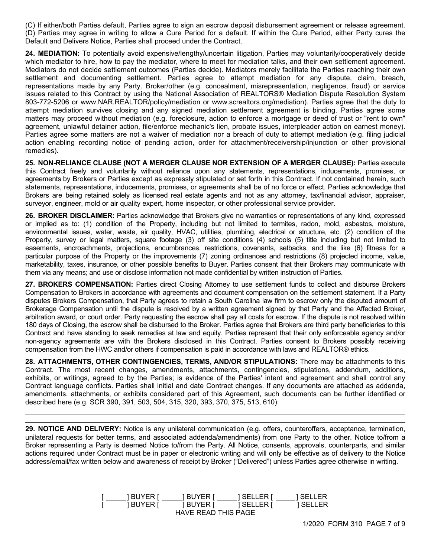(C) If either/both Parties default, Parties agree to sign an escrow deposit disbursement agreement or release agreement. (D) Parties may agree in writing to allow a Cure Period for a default. If within the Cure Period, either Party cures the Default and Delivers Notice, Parties shall proceed under the Contract.

24. MEDIATION: To potentially avoid expensive/lengthy/uncertain litigation, Parties may voluntarily/cooperatively decide which mediator to hire, how to pay the mediator, where to meet for mediation talks, and their own settlement agreement. Mediators do not decide settlement outcomes (Parties decide). Mediators merely facilitate the Parties reaching their own settlement and documenting settlement. Parties agree to attempt mediation for any dispute, claim, breach, representations made by any Party. Broker/other (e.g. concealment, misrepresentation, negligence, fraud) or service issues related to this Contract by using the National Association of REALTORS® Mediation Dispute Resolution System 803-772-5206 or www.NAR.REALTOR/policy/mediation or www.screaltors.org/mediation). Parties agree that the duty to attempt mediation survives closing and any signed mediation settlement agreement is binding. Parties agree some matters may proceed without mediation (e.g. foreclosure, action to enforce a mortgage or deed of trust or "rent to own" agreement, unlawful detainer action, file/enforce mechanic's lien, probate issues, interpleader action on earnest money). Parties agree some matters are not a waiver of mediation nor a breach of duty to attempt mediation (e.g. filing judicial action enabling recording notice of pending action, order for attachment/receivership/injunction or other provisional remedies).

25. NON-RELIANCE CLAUSE (NOT A MERGER CLAUSE NOR EXTENSION OF A MERGER CLAUSE): Parties execute this Contract freely and voluntarily without reliance upon any statements, representations, inducements, promises, or agreements by Brokers or Parties except as expressly stipulated or set forth in this Contract. If not contained herein, such statements, representations, inducements, promises, or agreements shall be of no force or effect. Parties acknowledge that Brokers are being retained solely as licensed real estate agents and not as any attorney, tax/financial advisor, appraiser, surveyor, engineer, mold or air quality expert, home inspector, or other professional service provider.

26. BROKER DISCLAIMER: Parties acknowledge that Brokers give no warranties or representations of any kind, expressed or implied as to: (1) condition of the Property, including but not limited to termites, radon, mold, asbestos, moisture, environmental issues, water, waste, air quality, HVAC, utilities, plumbing, electrical or structure, etc. (2) condition of the Property, survey or legal matters, square footage (3) off site conditions (4) schools (5) title including but not limited to easements, encroachments, projections, encumbrances, restrictions, covenants, setbacks, and the like (6) fitness for a particular purpose of the Property or the improvements (7) zoning ordinances and restrictions (8) projected income, value, marketability, taxes, insurance, or other possible benefits to Buyer. Parties consent that their Brokers may communicate with them via any means; and use or disclose information not made confidential by written instruction of Parties.

27. BROKERS COMPENSATION: Parties direct Closing Attorney to use settlement funds to collect and disburse Brokers Compensation to Brokers in accordance with agreements and document compensation on the settlement statement. If a Party disputes Brokers Compensation, that Party agrees to retain a South Carolina law firm to escrow only the disputed amount of Brokerage Compensation until the dispute is resolved by a written agreement signed by that Party and the Affected Broker, arbitration award, or court order. Party requesting the escrow shall pay all costs for escrow. If the dispute is not resolved within 180 days of Closing, the escrow shall be disbursed to the Broker. Parties agree that Brokers are third party beneficiaries to this Contract and have standing to seek remedies at law and equity. Parties represent that their only enforceable agency and/or non-agency agreements are with the Brokers disclosed in this Contract. Parties consent to Brokers possibly receiving compensation from the HWC and/or others if compensation is paid in accordance with laws and REALTOR® ethics.

28. ATTACHMENTS, OTHER CONTINGENCIES, TERMS, AND/OR STIPULATIONS: There may be attachments to this Contract. The most recent changes, amendments, attachments, contingencies, stipulations, addendum, additions, exhibits, or writings, agreed to by the Parties; is evidence of the Parties' intent and agreement and shall control any Contract language conflicts. Parties shall initial and date Contract changes. If any documents are attached as addenda, amendments, attachments, or exhibits considered part of this Agreement, such documents can be further identified or described here (e.g. SCR 390, 391, 503, 504, 315, 320, 393, 370, 375, 513, 610):

29. NOTICE AND DELIVERY: Notice is any unilateral communication (e.g. offers, counteroffers, acceptance, termination, unilateral requests for better terms, and associated addenda/amendments) from one Party to the other. Notice to/from a Broker representing a Party is deemed Notice to/from the Party. All Notice, consents, approvals, counterparts, and similar actions required under Contract must be in paper or electronic writing and will only be effective as of delivery to the Notice address/email/fax written below and awareness of receipt by Broker ("Delivered") unless Parties agree otherwise in writing.

|                     | 1 BUYER I | BUYER I   | TSELLER I | I SELLER |  |
|---------------------|-----------|-----------|-----------|----------|--|
|                     | 1 BUYER I | I BUYER I | TSELLER I | I SELLER |  |
| HAVE READ THIS PAGE |           |           |           |          |  |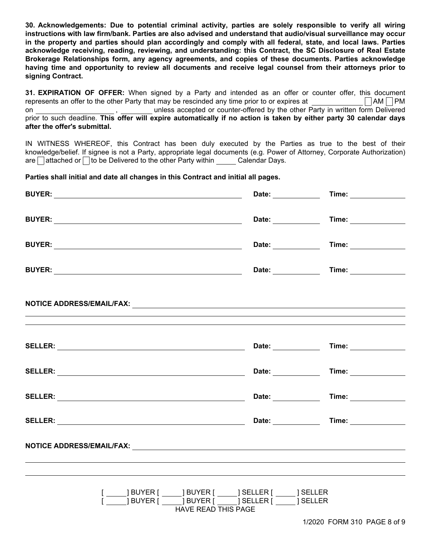30. Acknowledgements: Due to potential criminal activity, parties are solely responsible to verify all wiring instructions with law firm/bank. Parties are also advised and understand that audio/visual surveillance may occur in the property and parties should plan accordingly and comply with all federal, state, and local laws. Parties acknowledge receiving, reading, reviewing, and understanding: this Contract, the SC Disclosure of Real Estate Brokerage Relationships form, any agency agreements, and copies of these documents. Parties acknowledge having time and opportunity to review all documents and receive legal counsel from their attorneys prior to signing Contract.

31. EXPIRATION OF OFFER: When signed by a Party and intended as an offer or counter offer, this document represents an offer to the other Party that may be rescinded any time prior to or expires at  $\Box$  AM  $\Box$  PM on , unless accepted or counter-offered by the other Party in written form Delivered prior to such deadline. This offer will expire automatically if no action is taken by either party 30 calendar days after the offer's submittal.

IN WITNESS WHEREOF, this Contract has been duly executed by the Parties as true to the best of their knowledge/belief. If signee is not a Party, appropriate legal documents (e.g. Power of Attorney, Corporate Authorization)  $\alpha$  attached or to be Delivered to the other Party within Calendar Days.

Parties shall initial and date all changes in this Contract and initial all pages.

| [ ______] BUYER [ ______] BUYER [ ______] SELLER [ ______ ] SELLER<br>[ ______] BUYER [ ______] BUYER [ ______] SELLER [ ______ ] SELLER<br>HAVE READ THIS PAGE |  |
|-----------------------------------------------------------------------------------------------------------------------------------------------------------------|--|